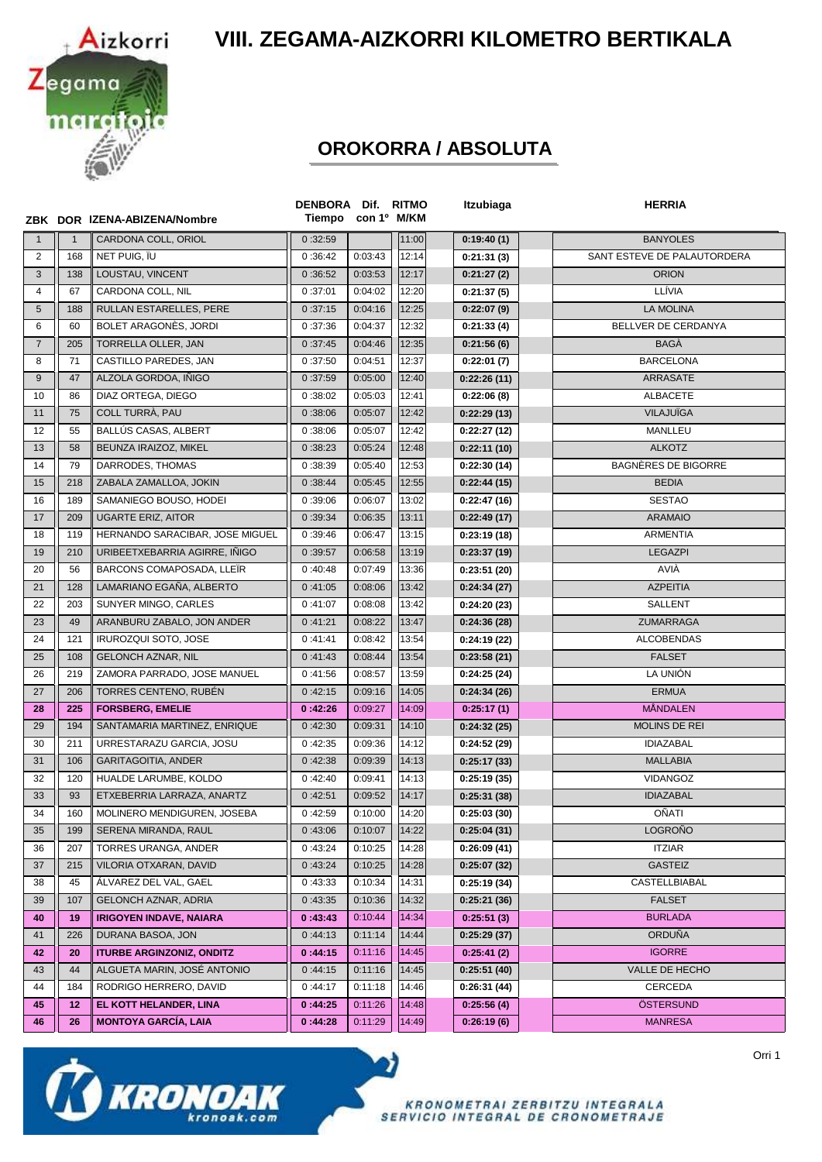**VIII. ZEGAMA-AIZKORRI KILOMETRO BERTIKALA**



## **OROKORRA / ABSOLUTA**

|                |              | ZBK DOR IZENA-ABIZENA/Nombre     | DENBORA Dif. RITMO<br>Tiempo con 1º M/KM |         |       | Itzubiaga    | <b>HERRIA</b>               |
|----------------|--------------|----------------------------------|------------------------------------------|---------|-------|--------------|-----------------------------|
| $\mathbf{1}$   | $\mathbf{1}$ | CARDONA COLL, ORIOL              | 0:32:59                                  |         | 11:00 | 0:19:40(1)   | <b>BANYOLES</b>             |
| 2              | 168          | NET PUIG. ÏU                     | 0:36:42                                  | 0:03:43 | 12:14 | 0:21:31(3)   | SANT ESTEVE DE PALAUTORDERA |
| 3              | 138          | LOUSTAU, VINCENT                 | 0:36:52                                  | 0:03:53 | 12:17 | 0:21:27(2)   | <b>ORION</b>                |
| $\overline{4}$ | 67           | CARDONA COLL, NIL                | 0:37:01                                  | 0:04:02 | 12:20 | 0:21:37(5)   | LLÍVIA                      |
| 5              | 188          | RULLAN ESTARELLES, PERE          | 0:37:15                                  | 0:04:16 | 12:25 | 0:22:07(9)   | <b>LA MOLINA</b>            |
| 6              | 60           | BOLET ARAGONES, JORDI            | 0:37:36                                  | 0:04:37 | 12:32 | 0:21:33(4)   | BELLVER DE CERDANYA         |
| $\overline{7}$ | 205          | TORRELLA OLLER, JAN              | 0:37:45                                  | 0:04:46 | 12:35 | 0:21:56(6)   | <b>BAGA</b>                 |
| 8              | 71           | CASTILLO PAREDES, JAN            | 0:37:50                                  | 0:04:51 | 12:37 | 0:22:01(7)   | <b>BARCELONA</b>            |
| 9              | 47           | ALZOLA GORDOA, IÑIGO             | 0:37:59                                  | 0:05:00 | 12:40 | 0:22:26(11)  | ARRASATE                    |
| 10             | 86           | DIAZ ORTEGA, DIEGO               | 0:38:02                                  | 0:05:03 | 12:41 | 0:22:06(8)   | ALBACETE                    |
| 11             | 75           | COLL TURRÀ, PAU                  | 0:38:06                                  | 0:05:07 | 12:42 | 0:22:29(13)  | <b>VILAJUÏGA</b>            |
| 12             | 55           | BALLÚS CASAS, ALBERT             | 0:38:06                                  | 0:05:07 | 12:42 | 0:22:27(12)  | MANLLEU                     |
| 13             | 58           | BEUNZA IRAIZOZ, MIKEL            | 0:38:23                                  | 0:05:24 | 12:48 | 0:22:11(10)  | <b>ALKOTZ</b>               |
| 14             | 79           | DARRODES, THOMAS                 | 0:38:39                                  | 0:05:40 | 12:53 | 0:22:30(14)  | <b>BAGNÈRES DE BIGORRE</b>  |
| 15             | 218          | ZABALA ZAMALLOA, JOKIN           | 0:38:44                                  | 0:05:45 | 12:55 | 0:22:44(15)  | <b>BEDIA</b>                |
| 16             | 189          | SAMANIEGO BOUSO, HODEI           | 0:39:06                                  | 0:06:07 | 13:02 | 0:22:47(16)  | <b>SESTAO</b>               |
| 17             | 209          | <b>UGARTE ERIZ, AITOR</b>        | 0:39:34                                  | 0:06:35 | 13:11 | 0:22:49(17)  | <b>ARAMAIO</b>              |
| 18             | 119          | HERNANDO SARACIBAR, JOSE MIGUEL  | 0:39:46                                  | 0:06:47 | 13:15 | 0:23:19(18)  | <b>ARMENTIA</b>             |
| 19             | 210          | URIBEETXEBARRIA AGIRRE, IÑIGO    | 0:39:57                                  | 0:06:58 | 13:19 | 0:23:37(19)  | <b>LEGAZPI</b>              |
| 20             | 56           | BARCONS COMAPOSADA, LLEÏR        | 0:40:48                                  | 0:07:49 | 13:36 | 0:23:51(20)  | AVIÀ                        |
| 21             | 128          | LAMARIANO EGAÑA, ALBERTO         | 0:41:05                                  | 0:08:06 | 13:42 | 0:24:34(27)  | <b>AZPEITIA</b>             |
| 22             | 203          | SUNYER MINGO, CARLES             | 0:41:07                                  | 0:08:08 | 13:42 | 0:24:20(23)  | SALLENT                     |
| 23             | 49           | ARANBURU ZABALO, JON ANDER       | 0:41:21                                  | 0:08:22 | 13:47 | 0:24:36(28)  | ZUMARRAGA                   |
| 24             | 121          | IRUROZQUI SOTO, JOSE             | 0:41:41                                  | 0:08:42 | 13:54 | 0:24:19(22)  | <b>ALCOBENDAS</b>           |
| 25             | 108          | <b>GELONCH AZNAR, NIL</b>        | 0:41:43                                  | 0:08:44 | 13:54 | 0:23:58(21)  | <b>FALSET</b>               |
| 26             | 219          | ZAMORA PARRADO, JOSE MANUEL      | 0:41:56                                  | 0:08:57 | 13:59 | 0:24:25(24)  | LA UNIÓN                    |
| 27             | 206          | TORRES CENTENO, RUBÉN            | 0:42:15                                  | 0:09:16 | 14:05 | 0:24:34(26)  | <b>ERMUA</b>                |
| 28             | 225          | <b>FORSBERG, EMELIE</b>          | 0:42:26                                  | 0:09:27 | 14:09 | 0:25:17(1)   | <b>MÅNDALEN</b>             |
| 29             | 194          | SANTAMARIA MARTINEZ, ENRIQUE     | 0:42:30                                  | 0:09:31 | 14:10 | 0:24:32(25)  | MOLINS DE REI               |
| 30             | 211          | URRESTARAZU GARCIA, JOSU         | 0:42:35                                  | 0:09:36 | 14:12 | 0:24:52(29)  | <b>IDIAZABAL</b>            |
| 31             | 106          | <b>GARITAGOITIA, ANDER</b>       | 0:42:38                                  | 0:09:39 | 14:13 | 0:25:17(33)  | <b>MALLABIA</b>             |
| 32             | 120          | HUALDE LARUMBE, KOLDO            | 0:42:40                                  | 0:09:41 | 14:13 | 0:25:19(35)  | <b>VIDANGOZ</b>             |
| 33             | 93           | ETXEBERRIA LARRAZA, ANARTZ       | 0:42:51                                  | 0:09:52 | 14:17 | 0:25:31(38)  | <b>IDIAZABAL</b>            |
| 34             | 160          | MOLINERO MENDIGUREN, JOSEBA      | 0:42:59                                  | 0:10:00 | 14:20 | 0:25:03(30)  | OÑATI                       |
| 35             | 199          | SERENA MIRANDA, RAUL             | 0:43:06                                  | 0:10:07 | 14:22 | 0:25:04(31)  | <b>LOGROÑO</b>              |
| 36             | 207          | TORRES URANGA, ANDER             | 0:43:24                                  | 0:10:25 | 14:28 | 0:26:09(41)  | <b>ITZIAR</b>               |
| 37             | 215          | VILORIA OTXARAN, DAVID           | 0:43:24                                  | 0:10:25 | 14:28 | 0:25:07(32)  | <b>GASTEIZ</b>              |
| 38             | 45           | ÁLVAREZ DEL VAL, GAEL            | 0:43:33                                  | 0:10:34 | 14:31 | 0:25:19(34)  | CASTELLBIABAL               |
| 39             | 107          | <b>GELONCH AZNAR, ADRIA</b>      | 0:43:35                                  | 0:10:36 | 14:32 | 0:25:21(36)  | <b>FALSET</b>               |
| 40             | 19           | <b>IRIGOYEN INDAVE, NAIARA</b>   | 0:43:43                                  | 0:10:44 | 14:34 | 0:25:51(3)   | <b>BURLADA</b>              |
| 41             | 226          | DURANA BASOA, JON                | 0:44:13                                  | 0:11:14 | 14:44 | 0:25:29(37)  | <b>ORDUÑA</b>               |
| 42             | 20           | <b>ITURBE ARGINZONIZ, ONDITZ</b> | 0:44:15                                  | 0:11:16 | 14:45 | 0:25:41(2)   | <b>IGORRE</b>               |
| 43             | 44           | ALGUETA MARIN, JOSÉ ANTONIO      | 0:44:15                                  | 0:11:16 | 14:45 | 0:25:51(40)  | VALLE DE HECHO              |
| 44             | 184          | RODRIGO HERRERO, DAVID           | 0:44:17                                  | 0:11:18 | 14:46 | 0:26:31 (44) | CERCEDA                     |
| 45             | 12           | EL KOTT HELANDER, LINA           | 0:44:25                                  | 0:11:26 | 14:48 | 0:25:56(4)   | ÖSTERSUND                   |
| 46             | 26           | <b>MONTOYA GARCÍA, LAIA</b>      | 0:44:28                                  | 0:11:29 | 14:49 | 0:26:19(6)   | <b>MANRESA</b>              |

Y)



KRONOMETRAI ZERBITZU INTEGRALA<br>SERVICIO INTEGRAL DE CRONOMETRAJE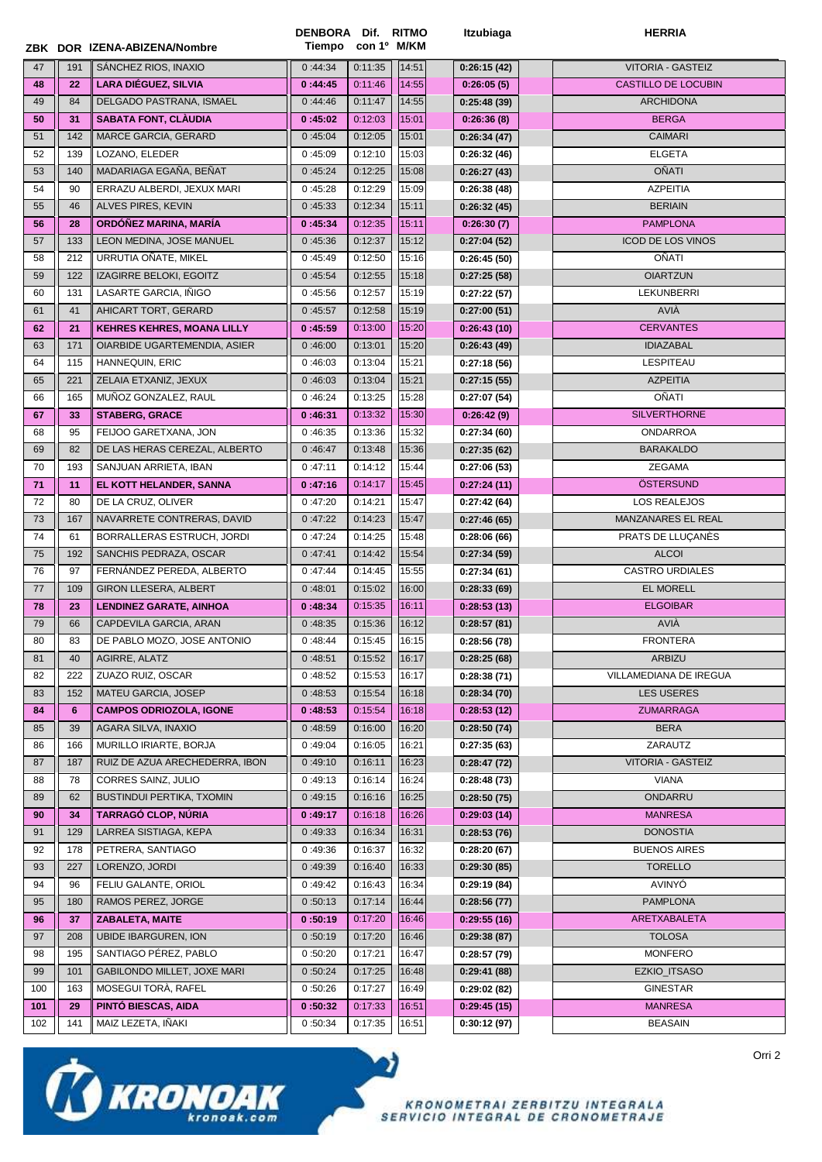|          |            | ZBK DOR IZENA-ABIZENA/Nombre                     | DENBORA Dif. RITMO<br>Tiempo con 1º M/KM |                    |                | Itzubiaga                  | <b>HERRIA</b>                         |
|----------|------------|--------------------------------------------------|------------------------------------------|--------------------|----------------|----------------------------|---------------------------------------|
| 47       | 191        | SÁNCHEZ RIOS, INAXIO                             | 0:44:34                                  | 0:11:35            | 14:51          | 0:26:15(42)                | VITORIA - GASTEIZ                     |
| 48       | 22         | LARA DIÉGUEZ, SILVIA                             | 0:44:45                                  | 0:11:46            | 14:55          | 0:26:05(5)                 | <b>CASTILLO DE LOCUBIN</b>            |
| 49       | 84         | DELGADO PASTRANA, ISMAEL                         | 0:44:46                                  | 0:11:47            | 14:55          | 0:25:48(39)                | <b>ARCHIDONA</b>                      |
| 50       | 31         | <b>SABATA FONT, CLAUDIA</b>                      | 0:45:02                                  | 0:12:03            | 15:01          | 0:26:36(8)                 | <b>BERGA</b>                          |
| 51       | 142        | MARCE GARCIA, GERARD                             | 0:45:04                                  | 0:12:05            | 15:01          | 0:26:34(47)                | CAIMARI                               |
| 52       | 139        | LOZANO, ELEDER                                   | 0:45:09                                  | 0:12:10            | 15:03          | 0:26:32(46)                | <b>ELGETA</b>                         |
| 53       | 140        | MADARIAGA EGAÑA, BEÑAT                           | 0:45:24                                  | 0:12:25            | 15:08          | 0:26:27(43)                | <b>OÑATI</b>                          |
| 54       | 90         | ERRAZU ALBERDI, JEXUX MARI                       | 0:45:28                                  | 0:12:29            | 15:09          | 0:26:38(48)                | <b>AZPEITIA</b>                       |
| 55       | 46         | ALVES PIRES, KEVIN                               | 0:45:33                                  | 0:12:34            | 15:11          | 0:26:32(45)                | <b>BERIAIN</b>                        |
| 56       | 28         | ORDÓÑEZ MARINA, MARÍA                            | 0:45:34                                  | 0:12:35            | 15:11          | 0:26:30(7)                 | <b>PAMPLONA</b>                       |
| 57       | 133        | LEON MEDINA, JOSE MANUEL                         | 0:45:36                                  | 0:12:37            | 15:12          | 0:27:04(52)                | <b>ICOD DE LOS VINOS</b>              |
| 58       | 212        | URRUTIA OÑATE, MIKEL                             | 0:45:49                                  | 0:12:50            | 15:16          | 0:26:45(50)                | OÑATI                                 |
| 59       | 122        | IZAGIRRE BELOKI, EGOITZ                          | 0:45:54                                  | 0:12:55            | 15:18          | 0:27:25(58)                | <b>OIARTZUN</b>                       |
| 60       | 131        | LASARTE GARCIA, IÑIGO                            | 0:45:56                                  | 0:12:57            | 15:19          | 0:27:22(57)                | <b>LEKUNBERRI</b>                     |
| 61       | 41         | AHICART TORT, GERARD                             | 0:45:57                                  | 0:12:58            | 15:19          | 0:27:00(51)                | AVIÀ                                  |
| 62       | 21         | <b>KEHRES KEHRES, MOANA LILLY</b>                | 0:45:59                                  | 0:13:00            | 15:20          | 0:26:43(10)                | <b>CERVANTES</b>                      |
| 63       | 171        | OIARBIDE UGARTEMENDIA, ASIER                     | 0:46:00                                  | 0:13:01            | 15:20          | 0:26:43(49)                | <b>IDIAZABAL</b>                      |
| 64       | 115        | HANNEQUIN, ERIC                                  | 0:46:03                                  | 0:13:04            | 15:21          | 0:27:18(56)                | LESPITEAU                             |
| 65       | 221        | ZELAIA ETXANIZ, JEXUX                            | 0:46:03                                  | 0:13:04            | 15:21          | 0:27:15(55)                | <b>AZPEITIA</b>                       |
| 66       | 165        | MUÑOZ GONZALEZ, RAUL                             | 0:46:24                                  | 0:13:25            | 15:28          | 0:27:07(54)                | <b>OÑATI</b>                          |
| 67       | 33         | <b>STABERG, GRACE</b>                            | 0:46:31                                  | 0:13:32            | 15:30          | 0:26:42(9)                 | <b>SILVERTHORNE</b>                   |
| 68       | 95         | FEIJOO GARETXANA, JON                            | 0:46:35                                  | 0:13:36            | 15:32          | 0:27:34(60)                | <b>ONDARROA</b>                       |
| 69       | 82         | DE LAS HERAS CEREZAL, ALBERTO                    | 0:46:47                                  | 0:13:48            | 15:36          | 0:27:35(62)                | <b>BARAKALDO</b>                      |
| 70       | 193        | SANJUAN ARRIETA, IBAN                            | 0:47:11                                  | 0:14:12            | 15:44          | 0:27:06(53)                | <b>ZEGAMA</b>                         |
| 71       | 11         | EL KOTT HELANDER, SANNA                          | 0:47:16                                  | 0:14:17            | 15:45          | 0:27:24(11)                | <b>OSTERSUND</b>                      |
| 72       | 80         | DE LA CRUZ, OLIVER                               | 0:47:20                                  | 0:14:21            | 15:47          | 0:27:42(64)                | LOS REALEJOS                          |
| 73       | 167        | NAVARRETE CONTRERAS, DAVID                       | 0:47:22                                  | 0:14:23            | 15:47          | 0:27:46(65)                | MANZANARES EL REAL                    |
| 74       | 61         | BORRALLERAS ESTRUCH, JORDI                       | 0:47:24                                  | 0:14:25            | 15:48          | 0:28:06(66)                | PRATS DE LLUÇANES                     |
| 75       | 192        | SANCHIS PEDRAZA, OSCAR                           | 0:47:41                                  | 0:14:42            | 15:54          | 0:27:34(59)                | <b>ALCOI</b>                          |
| 76       | 97         | FERNANDEZ PEREDA, ALBERTO                        | 0:47:44                                  | 0:14:45            | 15:55          | 0:27:34(61)                | <b>CASTRO URDIALES</b>                |
| 77       | 109        | <b>GIRON LLESERA, ALBERT</b>                     | 0:48:01                                  | 0:15:02            | 16:00          | 0:28:33(69)                | EL MORELL                             |
| 78       | 23         | <b>LENDINEZ GARATE, AINHOA</b>                   | 0:48:34                                  | 0:15:35            | 16:11          | 0:28:53(13)                | <b>ELGOIBAR</b>                       |
| 79       | 66         | CAPDEVILA GARCIA, ARAN                           | 0:48:35                                  | 0:15:36            | 16:12          | 0:28:57(81)                | AVIÀ                                  |
| 80       | 83         | DE PABLO MOZO, JOSE ANTONIO                      | 0:48:44                                  | 0:15:45            | 16:15          | 0:28:56(78)                | <b>FRONTERA</b>                       |
| 81       | 40         | AGIRRE, ALATZ                                    | 0:48:51                                  | 0:15:52            | 16:17          | 0:28:25(68)                | ARBIZU                                |
| 82       | 222        | ZUAZO RUIZ, OSCAR                                | 0:48:52                                  | 0:15:53            | 16:17          | 0:28:38(71)                | VILLAMEDIANA DE IREGUA                |
| 83       | 152        | MATEU GARCIA, JOSEP                              | 0:48:53                                  | 0:15:54            | 16:18          | 0:28:34(70)                | LES USERES                            |
| 84       | 6          | <b>CAMPOS ODRIOZOLA, IGONE</b>                   | 0:48:53                                  | 0:15:54            | 16:18          | 0:28:53(12)                | <b>ZUMARRAGA</b>                      |
| 85       | 39         | AGARA SILVA, INAXIO                              | 0:48:59                                  | 0:16:00            | 16:20          | 0:28:50(74)                | <b>BERA</b>                           |
| 86       | 166        | MURILLO IRIARTE, BORJA                           | 0:49:04                                  | 0:16:05            | 16:21          | 0:27:35(63)                | ZARAUTZ                               |
| 87       | 187        | RUIZ DE AZUA ARECHEDERRA, IBON                   | 0:49:10                                  | 0:16:11            | 16:23          | 0:28:47(72)                | <b>VITORIA - GASTEIZ</b>              |
| 88       | 78         | CORRES SAINZ, JULIO                              | 0:49:13                                  | 0:16:14            | 16:24          | 0:28:48(73)                | <b>VIANA</b>                          |
| 89       | 62         | BUSTINDUI PERTIKA, TXOMIN<br>TARRAGÓ CLOP, NÚRIA | 0:49:15                                  | 0:16:16            | 16:25          | 0:28:50(75)                | ONDARRU                               |
| 90       | 34         |                                                  | 0:49:17                                  | 0:16:18            | 16:26          | 0:29:03(14)                | <b>MANRESA</b>                        |
| 91       | 129        | LARREA SISTIAGA, KEPA                            | 0:49:33                                  | 0:16:34            | 16:31          | 0:28:53(76)                | <b>DONOSTIA</b>                       |
| 92<br>93 | 178<br>227 | PETRERA, SANTIAGO<br>LORENZO, JORDI              | 0:49:36<br>0:49:39                       | 0:16:37<br>0:16:40 | 16:32<br>16:33 | 0:28:20(67)<br>0:29:30(85) | <b>BUENOS AIRES</b><br><b>TORELLO</b> |
| 94       | 96         | FELIU GALANTE, ORIOL                             | 0:49:42                                  | 0:16:43            | 16:34          |                            | AVINYÓ                                |
| 95       | 180        | RAMOS PEREZ, JORGE                               | 0:50:13                                  | 0:17:14            | 16:44          | 0:29:19(84)                | <b>PAMPLONA</b>                       |
| 96       | 37         | <b>ZABALETA, MAITE</b>                           | 0:50:19                                  | 0:17:20            | 16:46          | 0:28:56(77)<br>0:29:55(16) | ARETXABALETA                          |
| 97       | 208        | <b>UBIDE IBARGUREN, ION</b>                      | 0:50:19                                  | 0:17:20            | 16:46          | 0:29:38(87)                | <b>TOLOSA</b>                         |
| 98       | 195        | SANTIAGO PÉREZ, PABLO                            | 0:50:20                                  | 0:17:21            | 16:47          | 0:28:57(79)                | <b>MONFERO</b>                        |
| 99       | 101        | GABILONDO MILLET, JOXE MARI                      | 0:50:24                                  | 0:17:25            | 16:48          | 0:29:41(88)                | EZKIO_ITSASO                          |
| 100      | 163        | MOSEGUI TORÀ, RAFEL                              | 0:50:26                                  | 0:17:27            | 16:49          | 0:29:02(82)                | <b>GINESTAR</b>                       |
| 101      | 29         | PINTÓ BIESCAS, AIDA                              | 0:50:32                                  | 0:17:33            | 16:51          | 0:29:45(15)                | <b>MANRESA</b>                        |
| 102      | 141        | MAIZ LEZETA, IÑAKI                               | 0:50:34                                  | 0:17:35            | 16:51          | 0:30:12(97)                | <b>BEASAIN</b>                        |
|          |            |                                                  |                                          |                    |                |                            |                                       |

o)



KRONOMETRAI ZERBITZU INTEGRALA<br>SERVICIO INTEGRAL DE CRONOMETRAJE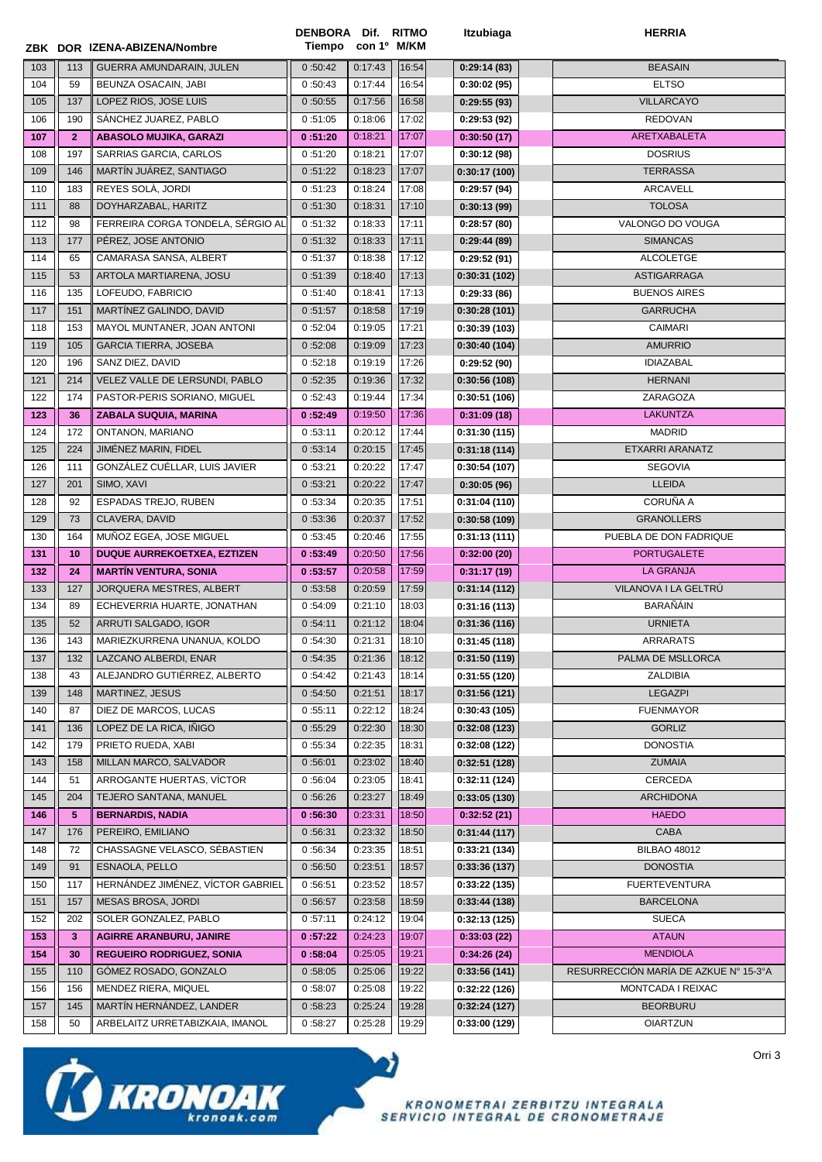|     |              | ZBK DOR IZENA-ABIZENA/Nombre      | DENBORA Dif. RITMO<br>Tiempo | con 1º M/KM |       | Itzubiaga    | <b>HERRIA</b>                         |
|-----|--------------|-----------------------------------|------------------------------|-------------|-------|--------------|---------------------------------------|
| 103 | 113          | GUERRA AMUNDARAIN, JULEN          | 0:50:42                      | 0:17:43     | 16:54 | 0:29:14(83)  | <b>BEASAIN</b>                        |
| 104 | 59           | BEUNZA OSACAIN, JABI              | 0:50:43                      | 0:17:44     | 16:54 | 0:30:02(95)  | <b>ELTSO</b>                          |
| 105 | 137          | LOPEZ RIOS, JOSE LUIS             | 0:50:55                      | 0:17:56     | 16:58 | 0:29:55(93)  | <b>VILLARCAYO</b>                     |
| 106 | 190          | SÁNCHEZ JUAREZ, PABLO             | 0:51:05                      | 0:18:06     | 17:02 | 0:29:53 (92) | <b>REDOVAN</b>                        |
| 107 | $\mathbf{2}$ | <b>ABASOLO MUJIKA, GARAZI</b>     | 0:51:20                      | 0:18:21     | 17:07 | 0:30:50(17)  | ARETXABALETA                          |
| 108 | 197          | SARRIAS GARCIA, CARLOS            | 0:51:20                      | 0:18:21     | 17:07 | 0:30:12(98)  | <b>DOSRIUS</b>                        |
| 109 | 146          | MARTÍN JUÁREZ, SANTIAGO           | 0:51:22                      | 0:18:23     | 17:07 | 0:30:17(100) | <b>TERRASSA</b>                       |
| 110 | 183          | REYES SOLA, JORDI                 | 0:51:23                      | 0:18:24     | 17:08 | 0:29:57(94)  | <b>ARCAVELL</b>                       |
| 111 | 88           | DOYHARZABAL, HARITZ               | 0:51:30                      | 0:18:31     | 17:10 | 0:30:13(99)  | <b>TOLOSA</b>                         |
| 112 | 98           | FERREIRA CORGA TONDELA, SÉRGIO AL | 0:51:32                      | 0:18:33     | 17:11 | 0:28:57(80)  | VALONGO DO VOUGA                      |
| 113 | 177          | PÉREZ, JOSE ANTONIO               | 0:51:32                      | 0:18:33     | 17:11 | 0:29:44(89)  | <b>SIMANCAS</b>                       |
| 114 | 65           | CAMARASA SANSA, ALBERT            | 0:51:37                      | 0:18:38     | 17:12 | 0:29:52(91)  | <b>ALCOLETGE</b>                      |
| 115 | 53           | ARTOLA MARTIARENA, JOSU           | 0:51:39                      | 0:18:40     | 17:13 | 0:30:31(102) | <b>ASTIGARRAGA</b>                    |
| 116 | 135          | LOFEUDO, FABRICIO                 | 0:51:40                      | 0:18:41     | 17:13 | 0:29:33(86)  | <b>BUENOS AIRES</b>                   |
| 117 | 151          | MARTÍNEZ GALINDO, DAVID           | 0:51:57                      | 0:18:58     | 17:19 | 0:30:28(101) | <b>GARRUCHA</b>                       |
| 118 | 153          | MAYOL MUNTANER, JOAN ANTONI       | 0:52:04                      | 0:19:05     | 17:21 | 0:30:39(103) | CAIMARI                               |
| 119 | 105          | <b>GARCIA TIERRA, JOSEBA</b>      | 0:52:08                      | 0:19:09     | 17:23 | 0:30:40(104) | <b>AMURRIO</b>                        |
| 120 | 196          | SANZ DIEZ, DAVID                  | 0:52:18                      | 0:19:19     | 17:26 | 0:29:52(90)  | <b>IDIAZABAL</b>                      |
| 121 | 214          | VELEZ VALLE DE LERSUNDI, PABLO    | 0:52:35                      | 0:19:36     | 17:32 | 0:30:56(108) | <b>HERNANI</b>                        |
| 122 | 174          | PASTOR-PERIS SORIANO, MIGUEL      | 0:52:43                      | 0:19:44     | 17:34 | 0:30:51(106) | ZARAGOZA                              |
| 123 | 36           | <b>ZABALA SUQUIA, MARINA</b>      | 0:52:49                      | 0:19:50     | 17:36 | 0:31:09(18)  | <b>LAKUNTZA</b>                       |
| 124 | 172          | ONTANON, MARIANO                  | 0:53:11                      | 0:20:12     | 17:44 | 0:31:30(115) | <b>MADRID</b>                         |
| 125 | 224          | JIMÉNEZ MARIN, FIDEL              | 0:53:14                      | 0:20:15     | 17:45 | 0:31:18(114) | ETXARRI ARANATZ                       |
| 126 | 111          | GONZÁLEZ CUÉLLAR, LUIS JAVIER     | 0:53:21                      | 0:20:22     | 17:47 | 0:30:54(107) | <b>SEGOVIA</b>                        |
| 127 | 201          | SIMO, XAVI                        | 0:53:21                      | 0:20:22     | 17:47 | 0:30:05(96)  | <b>LLEIDA</b>                         |
| 128 | 92           | <b>ESPADAS TREJO, RUBEN</b>       | 0:53:34                      | 0:20:35     | 17:51 | 0:31:04(110) | CORUÑA A                              |
| 129 | 73           | CLAVERA, DAVID                    | 0:53:36                      | 0:20:37     | 17:52 | 0:30:58(109) | <b>GRANOLLERS</b>                     |
| 130 | 164          | MUNOZ EGEA, JOSE MIGUEL           | 0:53:45                      | 0:20:46     | 17:55 | 0:31:13(111) | PUEBLA DE DON FADRIQUE                |
| 131 | 10           | DUQUE AURREKOETXEA, EZTIZEN       | 0:53:49                      | 0:20:50     | 17:56 | 0:32:00(20)  | <b>PORTUGALETE</b>                    |
| 132 | 24           | <b>MARTÍN VENTURA, SONIA</b>      | 0:53:57                      | 0:20:58     | 17:59 | 0:31:17(19)  | <b>LA GRANJA</b>                      |
| 133 | 127          | JORQUERA MESTRES, ALBERT          | 0:53:58                      | 0:20:59     | 17:59 | 0:31:14(112) | VILANOVA I LA GELTRÚ                  |
| 134 | 89           | ECHEVERRIA HUARTE, JONATHAN       | 0:54:09                      | 0:21:10     | 18:03 | 0:31:16(113) | BARAÑÁIN                              |
| 135 | 52           | ARRUTI SALGADO, IGOR              | 0:54:11                      | 0:21:12     | 18:04 | 0:31:36(116) | <b>URNIETA</b>                        |
| 136 | 143          | MARIEZKURRENA UNANUA, KOLDO       | 0:54:30                      | 0:21:31     | 18:10 | 0:31:45(118) | <b>ARRARATS</b>                       |
| 137 | 132          | LAZCANO ALBERDI, ENAR             | 0:54:35                      | 0:21:36     | 18:12 | 0:31:50(119) | PALMA DE MSLLORCA                     |
| 138 | 43           | ALEJANDRO GUTIÉRREZ, ALBERTO      | 0:54:42                      | 0:21:43     | 18:14 | 0:31:55(120) | ZALDIBIA                              |
| 139 | 148          | MARTINEZ, JESUS                   | 0:54:50                      | 0:21:51     | 18:17 | 0:31:56(121) | <b>LEGAZPI</b>                        |
| 140 | 87           | DIEZ DE MARCOS, LUCAS             | 0:55:11                      | 0:22:12     | 18:24 | 0:30:43(105) | <b>FUENMAYOR</b>                      |
| 141 | 136          | LOPEZ DE LA RICA, IÑIGO           | 0:55:29                      | 0:22:30     | 18:30 | 0:32:08(123) | <b>GORLIZ</b>                         |
| 142 | 179          | PRIETO RUEDA, XABI                | 0:55:34                      | 0:22:35     | 18:31 | 0:32:08(122) | <b>DONOSTIA</b>                       |
| 143 | 158          | MILLAN MARCO, SALVADOR            | 0:56:01                      | 0:23:02     | 18:40 | 0:32:51(128) | <b>ZUMAIA</b>                         |
| 144 | 51           | ARROGANTE HUERTAS, VÍCTOR         | 0:56:04                      | 0:23:05     | 18:41 | 0:32:11(124) | CERCEDA                               |
| 145 | 204          | TEJERO SANTANA, MANUEL            | 0:56:26                      | 0:23:27     | 18:49 | 0:33:05(130) | <b>ARCHIDONA</b>                      |
| 146 | 5            | <b>BERNARDIS, NADIA</b>           | 0:56:30                      | 0:23:31     | 18:50 | 0:32:52(21)  | <b>HAEDO</b>                          |
| 147 | 176          | PEREIRO, EMILIANO                 | 0:56:31                      | 0:23:32     | 18:50 | 0:31:44(117) | CABA                                  |
| 148 | 72           | CHASSAGNE VELASCO, SÉBASTIEN      | 0:56:34                      | 0:23:35     | 18:51 | 0:33:21(134) | <b>BILBAO 48012</b>                   |
| 149 | 91           | ESNAOLA, PELLO                    | 0:56:50                      | 0:23:51     | 18:57 | 0:33:36(137) | <b>DONOSTIA</b>                       |
| 150 | 117          | HERNÁNDEZ JIMÉNEZ, VÍCTOR GABRIEL | 0:56:51                      | 0:23:52     | 18:57 | 0:33:22(135) | <b>FUERTEVENTURA</b>                  |
| 151 | 157          | MESAS BROSA, JORDI                | 0:56:57                      | 0:23:58     | 18:59 | 0:33:44(138) | <b>BARCELONA</b>                      |
| 152 | 202          | SOLER GONZALEZ, PABLO             | 0:57:11                      | 0:24:12     | 19:04 | 0:32:13(125) | <b>SUECA</b>                          |
| 153 | 3            | <b>AGIRRE ARANBURU, JANIRE</b>    | 0:57:22                      | 0:24:23     | 19:07 | 0:33:03(22)  | <b>ATAUN</b>                          |
| 154 | 30           | <b>REGUEIRO RODRIGUEZ, SONIA</b>  | 0:58:04                      | 0:25:05     | 19:21 | 0:34:26(24)  | <b>MENDIOLA</b>                       |
| 155 | 110          | GOMEZ ROSADO, GONZALO             | 0:58:05                      | 0:25:06     | 19:22 | 0:33:56(141) | RESURRECCIÓN MARÍA DE AZKUE Nº 15-3ºA |
| 156 | 156          | MENDEZ RIERA, MIQUEL              | 0:58:07                      | 0:25:08     | 19:22 | 0:32:22(126) | MONTCADA I REIXAC                     |
| 157 | 145          | MARTÍN HERNÁNDEZ, LANDER          | 0:58:23                      | 0:25:24     | 19:28 | 0:32:24(127) | <b>BEORBURU</b>                       |
| 158 | 50           | ARBELAITZ URRETABIZKAIA, IMANOL   | 0:58:27                      | 0:25:28     | 19:29 | 0:33:00(129) | <b>OIARTZUN</b>                       |

D)



KRONOMETRAI ZERBITZU INTEGRALA<br>SERVICIO INTEGRAL DE CRONOMETRAJE

Orri 3